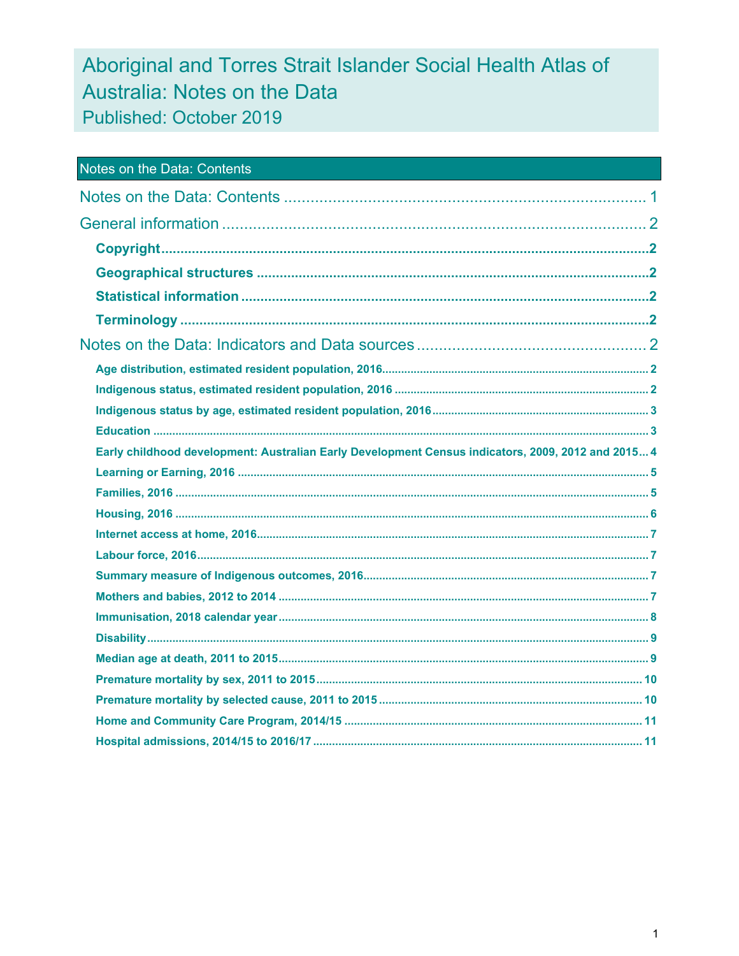# Aboriginal and Torres Strait Islander Social Health Atlas of Australia: Notes on the Data Published: October 2019

| Notes on the Data: Contents                                                                        |  |
|----------------------------------------------------------------------------------------------------|--|
|                                                                                                    |  |
|                                                                                                    |  |
|                                                                                                    |  |
|                                                                                                    |  |
|                                                                                                    |  |
|                                                                                                    |  |
|                                                                                                    |  |
|                                                                                                    |  |
|                                                                                                    |  |
|                                                                                                    |  |
|                                                                                                    |  |
| Early childhood development: Australian Early Development Census indicators, 2009, 2012 and 2015 4 |  |
|                                                                                                    |  |
|                                                                                                    |  |
|                                                                                                    |  |
|                                                                                                    |  |
|                                                                                                    |  |
|                                                                                                    |  |
|                                                                                                    |  |
|                                                                                                    |  |
|                                                                                                    |  |
|                                                                                                    |  |
|                                                                                                    |  |
|                                                                                                    |  |
|                                                                                                    |  |
|                                                                                                    |  |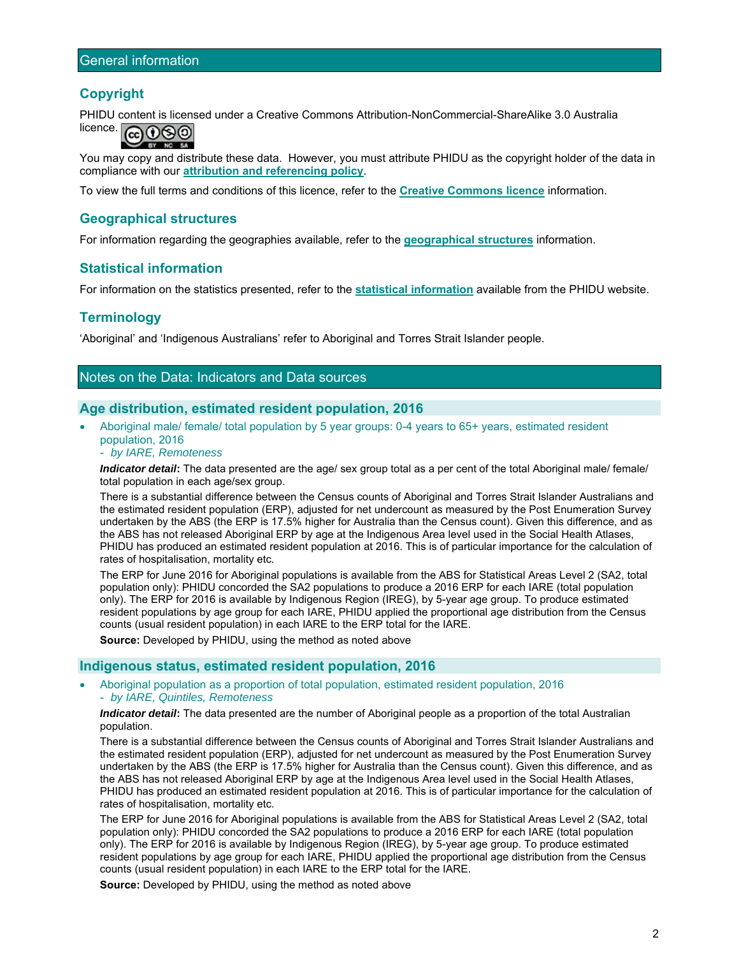# **Copyright**

PHIDU content is licensed under a Creative Commons Attribution-NonCommercial-ShareAlike 3.0 Australia



You may copy and distribute these data. However, you must attribute PHIDU as the copyright holder of the data in compliance with our **attribution and referencing policy**.

To view the full terms and conditions of this licence, refer to the **Creative Commons licence** information.

# **Geographical structures**

For information regarding the geographies available, refer to the **geographical structures** information.

# **Statistical information**

For information on the statistics presented, refer to the **statistical information** available from the PHIDU website.

# **Terminology**

'Aboriginal' and 'Indigenous Australians' refer to Aboriginal and Torres Strait Islander people.

# Notes on the Data: Indicators and Data sources

# **Age distribution, estimated resident population, 2016**

- Aboriginal male/ female/ total population by 5 year groups: 0-4 years to 65+ years, estimated resident population, 2016
	- *by IARE, Remoteness*

*Indicator detail***:** The data presented are the age/ sex group total as a per cent of the total Aboriginal male/ female/ total population in each age/sex group.

There is a substantial difference between the Census counts of Aboriginal and Torres Strait Islander Australians and the estimated resident population (ERP), adjusted for net undercount as measured by the Post Enumeration Survey undertaken by the ABS (the ERP is 17.5% higher for Australia than the Census count). Given this difference, and as the ABS has not released Aboriginal ERP by age at the Indigenous Area level used in the Social Health Atlases, PHIDU has produced an estimated resident population at 2016. This is of particular importance for the calculation of rates of hospitalisation, mortality etc.

The ERP for June 2016 for Aboriginal populations is available from the ABS for Statistical Areas Level 2 (SA2, total population only): PHIDU concorded the SA2 populations to produce a 2016 ERP for each IARE (total population only). The ERP for 2016 is available by Indigenous Region (IREG), by 5-year age group. To produce estimated resident populations by age group for each IARE, PHIDU applied the proportional age distribution from the Census counts (usual resident population) in each IARE to the ERP total for the IARE.

**Source:** Developed by PHIDU, using the method as noted above

# **Indigenous status, estimated resident population, 2016**

 Aboriginal population as a proportion of total population, estimated resident population, 2016 - *by IARE, Quintiles, Remoteness* 

*Indicator detail***:** The data presented are the number of Aboriginal people as a proportion of the total Australian population.

There is a substantial difference between the Census counts of Aboriginal and Torres Strait Islander Australians and the estimated resident population (ERP), adjusted for net undercount as measured by the Post Enumeration Survey undertaken by the ABS (the ERP is 17.5% higher for Australia than the Census count). Given this difference, and as the ABS has not released Aboriginal ERP by age at the Indigenous Area level used in the Social Health Atlases, PHIDU has produced an estimated resident population at 2016. This is of particular importance for the calculation of rates of hospitalisation, mortality etc.

The ERP for June 2016 for Aboriginal populations is available from the ABS for Statistical Areas Level 2 (SA2, total population only): PHIDU concorded the SA2 populations to produce a 2016 ERP for each IARE (total population only). The ERP for 2016 is available by Indigenous Region (IREG), by 5-year age group. To produce estimated resident populations by age group for each IARE, PHIDU applied the proportional age distribution from the Census counts (usual resident population) in each IARE to the ERP total for the IARE.

**Source:** Developed by PHIDU, using the method as noted above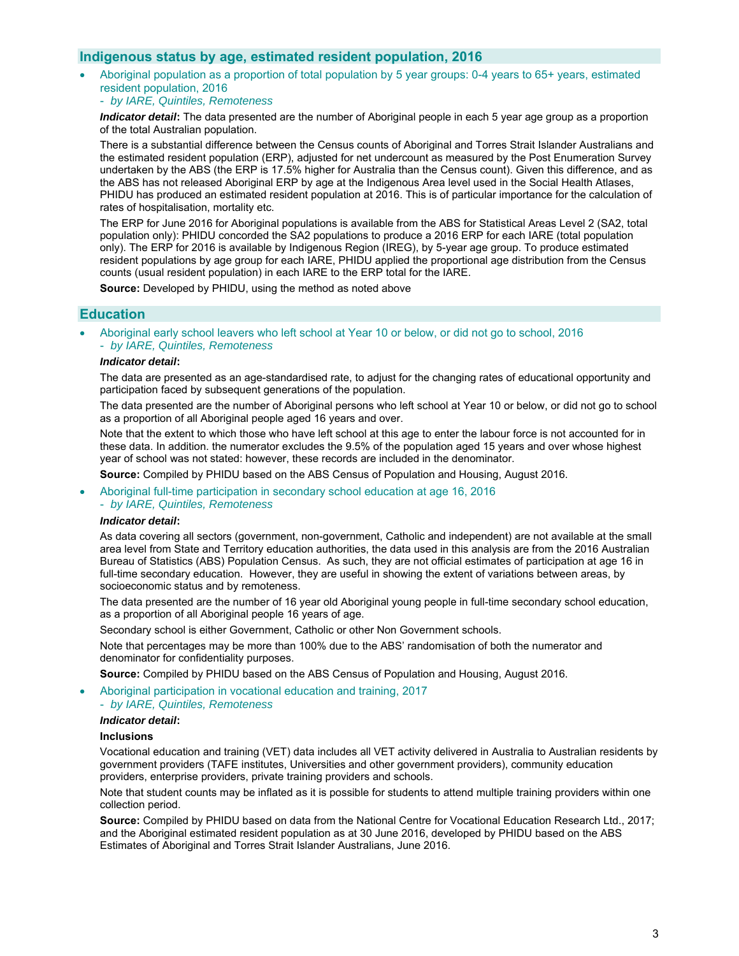# **Indigenous status by age, estimated resident population, 2016**

- Aboriginal population as a proportion of total population by 5 year groups: 0-4 years to 65+ years, estimated resident population, 2016
	- *by IARE, Quintiles, Remoteness*

*Indicator detail***:** The data presented are the number of Aboriginal people in each 5 year age group as a proportion of the total Australian population.

There is a substantial difference between the Census counts of Aboriginal and Torres Strait Islander Australians and the estimated resident population (ERP), adjusted for net undercount as measured by the Post Enumeration Survey undertaken by the ABS (the ERP is 17.5% higher for Australia than the Census count). Given this difference, and as the ABS has not released Aboriginal ERP by age at the Indigenous Area level used in the Social Health Atlases, PHIDU has produced an estimated resident population at 2016. This is of particular importance for the calculation of rates of hospitalisation, mortality etc.

The ERP for June 2016 for Aboriginal populations is available from the ABS for Statistical Areas Level 2 (SA2, total population only): PHIDU concorded the SA2 populations to produce a 2016 ERP for each IARE (total population only). The ERP for 2016 is available by Indigenous Region (IREG), by 5-year age group. To produce estimated resident populations by age group for each IARE, PHIDU applied the proportional age distribution from the Census counts (usual resident population) in each IARE to the ERP total for the IARE.

**Source:** Developed by PHIDU, using the method as noted above

# **Education**

 Aboriginal early school leavers who left school at Year 10 or below, or did not go to school, 2016 - *by IARE, Quintiles, Remoteness* 

### *Indicator detail***:**

The data are presented as an age-standardised rate, to adjust for the changing rates of educational opportunity and participation faced by subsequent generations of the population.

The data presented are the number of Aboriginal persons who left school at Year 10 or below, or did not go to school as a proportion of all Aboriginal people aged 16 years and over.

Note that the extent to which those who have left school at this age to enter the labour force is not accounted for in these data. In addition. the numerator excludes the 9.5% of the population aged 15 years and over whose highest year of school was not stated: however, these records are included in the denominator.

**Source:** Compiled by PHIDU based on the ABS Census of Population and Housing, August 2016.

- Aboriginal full-time participation in secondary school education at age 16, 2016
	- *by IARE, Quintiles, Remoteness*

### *Indicator detail***:**

As data covering all sectors (government, non-government, Catholic and independent) are not available at the small area level from State and Territory education authorities, the data used in this analysis are from the 2016 Australian Bureau of Statistics (ABS) Population Census. As such, they are not official estimates of participation at age 16 in full-time secondary education. However, they are useful in showing the extent of variations between areas, by socioeconomic status and by remoteness.

The data presented are the number of 16 year old Aboriginal young people in full-time secondary school education, as a proportion of all Aboriginal people 16 years of age.

Secondary school is either Government, Catholic or other Non Government schools.

Note that percentages may be more than 100% due to the ABS' randomisation of both the numerator and denominator for confidentiality purposes.

**Source:** Compiled by PHIDU based on the ABS Census of Population and Housing, August 2016.

- Aboriginal participation in vocational education and training, 2017
- *by IARE, Quintiles, Remoteness*

#### *Indicator detail***:**

#### **Inclusions**

Vocational education and training (VET) data includes all VET activity delivered in Australia to Australian residents by government providers (TAFE institutes, Universities and other government providers), community education providers, enterprise providers, private training providers and schools.

Note that student counts may be inflated as it is possible for students to attend multiple training providers within one collection period.

**Source:** Compiled by PHIDU based on data from the National Centre for Vocational Education Research Ltd., 2017; and the Aboriginal estimated resident population as at 30 June 2016, developed by PHIDU based on the ABS Estimates of Aboriginal and Torres Strait Islander Australians, June 2016.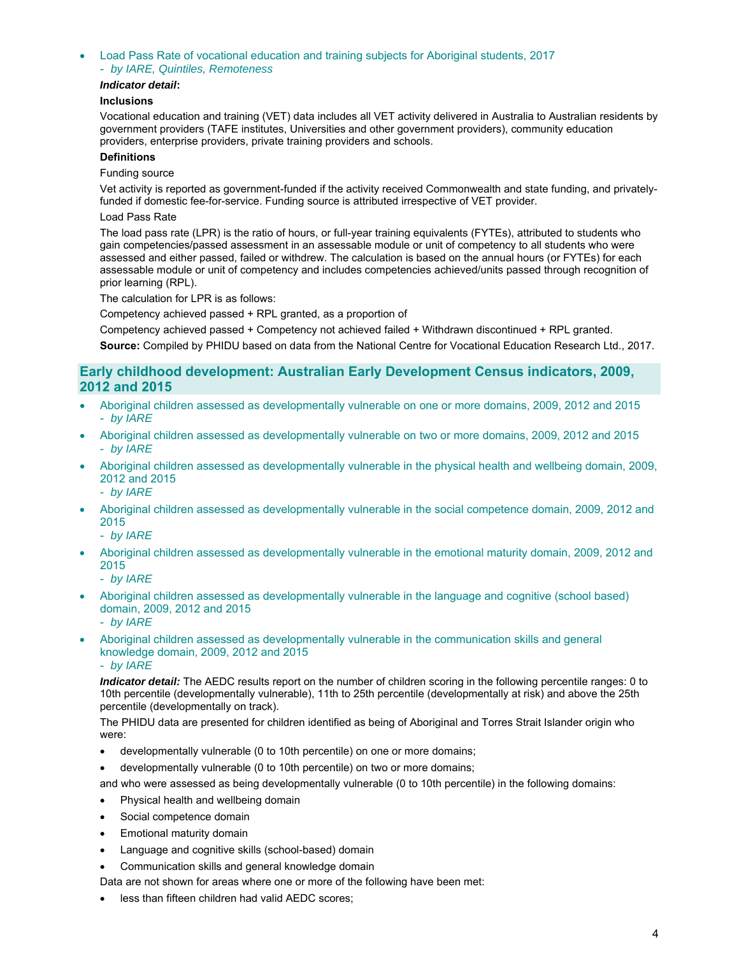- Load Pass Rate of vocational education and training subjects for Aboriginal students, 2017
	- *by IARE, Quintiles, Remoteness*

### *Indicator detail***:**

### **Inclusions**

Vocational education and training (VET) data includes all VET activity delivered in Australia to Australian residents by government providers (TAFE institutes, Universities and other government providers), community education providers, enterprise providers, private training providers and schools.

### **Definitions**

### Funding source

Vet activity is reported as government-funded if the activity received Commonwealth and state funding, and privatelyfunded if domestic fee-for-service. Funding source is attributed irrespective of VET provider.

### Load Pass Rate

The load pass rate (LPR) is the ratio of hours, or full-year training equivalents (FYTEs), attributed to students who gain competencies/passed assessment in an assessable module or unit of competency to all students who were assessed and either passed, failed or withdrew. The calculation is based on the annual hours (or FYTEs) for each assessable module or unit of competency and includes competencies achieved/units passed through recognition of prior learning (RPL).

The calculation for LPR is as follows:

Competency achieved passed + RPL granted, as a proportion of

Competency achieved passed + Competency not achieved failed + Withdrawn discontinued + RPL granted.

**Source:** Compiled by PHIDU based on data from the National Centre for Vocational Education Research Ltd., 2017.

# **Early childhood development: Australian Early Development Census indicators, 2009, 2012 and 2015**

- Aboriginal children assessed as developmentally vulnerable on one or more domains, 2009, 2012 and 2015 - *by IARE*
- Aboriginal children assessed as developmentally vulnerable on two or more domains, 2009, 2012 and 2015 - *by IARE*
- Aboriginal children assessed as developmentally vulnerable in the physical health and wellbeing domain, 2009, 2012 and 2015
	- *by IARE*
- Aboriginal children assessed as developmentally vulnerable in the social competence domain, 2009, 2012 and 2015
	- *by IARE*
- Aboriginal children assessed as developmentally vulnerable in the emotional maturity domain, 2009, 2012 and 2015
	- *by IARE*
- Aboriginal children assessed as developmentally vulnerable in the language and cognitive (school based) domain, 2009, 2012 and 2015
	- *by IARE*
- Aboriginal children assessed as developmentally vulnerable in the communication skills and general knowledge domain, 2009, 2012 and 2015
	- *by IARE*

*Indicator detail:* The AEDC results report on the number of children scoring in the following percentile ranges: 0 to 10th percentile (developmentally vulnerable), 11th to 25th percentile (developmentally at risk) and above the 25th percentile (developmentally on track).

The PHIDU data are presented for children identified as being of Aboriginal and Torres Strait Islander origin who were:

- developmentally vulnerable (0 to 10th percentile) on one or more domains;
- developmentally vulnerable (0 to 10th percentile) on two or more domains;

and who were assessed as being developmentally vulnerable (0 to 10th percentile) in the following domains:

- Physical health and wellbeing domain
- Social competence domain
- Emotional maturity domain
- Language and cognitive skills (school-based) domain
- Communication skills and general knowledge domain

Data are not shown for areas where one or more of the following have been met:

less than fifteen children had valid AEDC scores;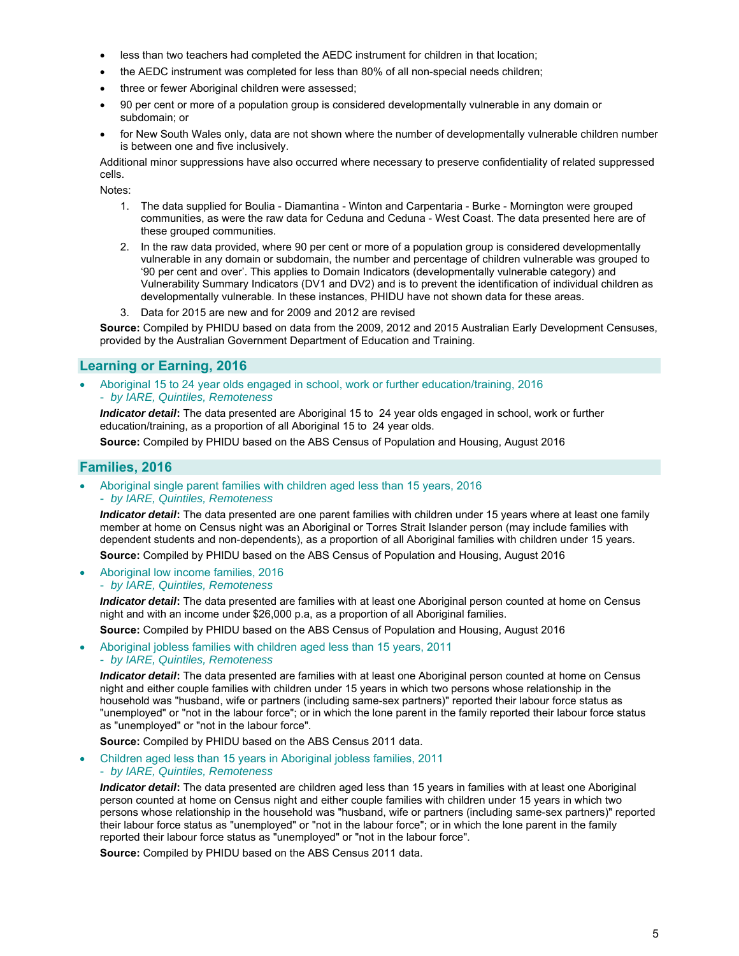- less than two teachers had completed the AEDC instrument for children in that location;
- the AEDC instrument was completed for less than 80% of all non-special needs children;
- three or fewer Aboriginal children were assessed;
- 90 per cent or more of a population group is considered developmentally vulnerable in any domain or subdomain; or
- for New South Wales only, data are not shown where the number of developmentally vulnerable children number is between one and five inclusively.

Additional minor suppressions have also occurred where necessary to preserve confidentiality of related suppressed cells.

Notes:

- 1. The data supplied for Boulia Diamantina Winton and Carpentaria Burke Mornington were grouped communities, as were the raw data for Ceduna and Ceduna - West Coast. The data presented here are of these grouped communities.
- 2. In the raw data provided, where 90 per cent or more of a population group is considered developmentally vulnerable in any domain or subdomain, the number and percentage of children vulnerable was grouped to '90 per cent and over'. This applies to Domain Indicators (developmentally vulnerable category) and Vulnerability Summary Indicators (DV1 and DV2) and is to prevent the identification of individual children as developmentally vulnerable. In these instances, PHIDU have not shown data for these areas.
- 3. Data for 2015 are new and for 2009 and 2012 are revised

**Source:** Compiled by PHIDU based on data from the 2009, 2012 and 2015 Australian Early Development Censuses, provided by the Australian Government Department of Education and Training.

# **Learning or Earning, 2016**

 Aboriginal 15 to 24 year olds engaged in school, work or further education/training, 2016 - *by IARE, Quintiles, Remoteness* 

*Indicator detail***:** The data presented are Aboriginal 15 to 24 year olds engaged in school, work or further education/training, as a proportion of all Aboriginal 15 to 24 year olds.

**Source:** Compiled by PHIDU based on the ABS Census of Population and Housing, August 2016

# **Families, 2016**

 Aboriginal single parent families with children aged less than 15 years, 2016 - *by IARE, Quintiles, Remoteness* 

*Indicator detail***:** The data presented are one parent families with children under 15 years where at least one family member at home on Census night was an Aboriginal or Torres Strait Islander person (may include families with dependent students and non-dependents), as a proportion of all Aboriginal families with children under 15 years.

**Source:** Compiled by PHIDU based on the ABS Census of Population and Housing, August 2016

- Aboriginal low income families, 2016
	- *by IARE, Quintiles, Remoteness*

*Indicator detail***:** The data presented are families with at least one Aboriginal person counted at home on Census night and with an income under \$26,000 p.a, as a proportion of all Aboriginal families.

**Source:** Compiled by PHIDU based on the ABS Census of Population and Housing, August 2016

 Aboriginal jobless families with children aged less than 15 years, 2011 - *by IARE, Quintiles, Remoteness* 

*Indicator detail***:** The data presented are families with at least one Aboriginal person counted at home on Census night and either couple families with children under 15 years in which two persons whose relationship in the household was "husband, wife or partners (including same-sex partners)" reported their labour force status as "unemployed" or "not in the labour force"; or in which the lone parent in the family reported their labour force status as "unemployed" or "not in the labour force".

**Source:** Compiled by PHIDU based on the ABS Census 2011 data.

 Children aged less than 15 years in Aboriginal jobless families, 2011 - *by IARE, Quintiles, Remoteness* 

*Indicator detail*: The data presented are children aged less than 15 years in families with at least one Aboriginal person counted at home on Census night and either couple families with children under 15 years in which two persons whose relationship in the household was "husband, wife or partners (including same-sex partners)" reported their labour force status as "unemployed" or "not in the labour force"; or in which the lone parent in the family reported their labour force status as "unemployed" or "not in the labour force".

**Source:** Compiled by PHIDU based on the ABS Census 2011 data.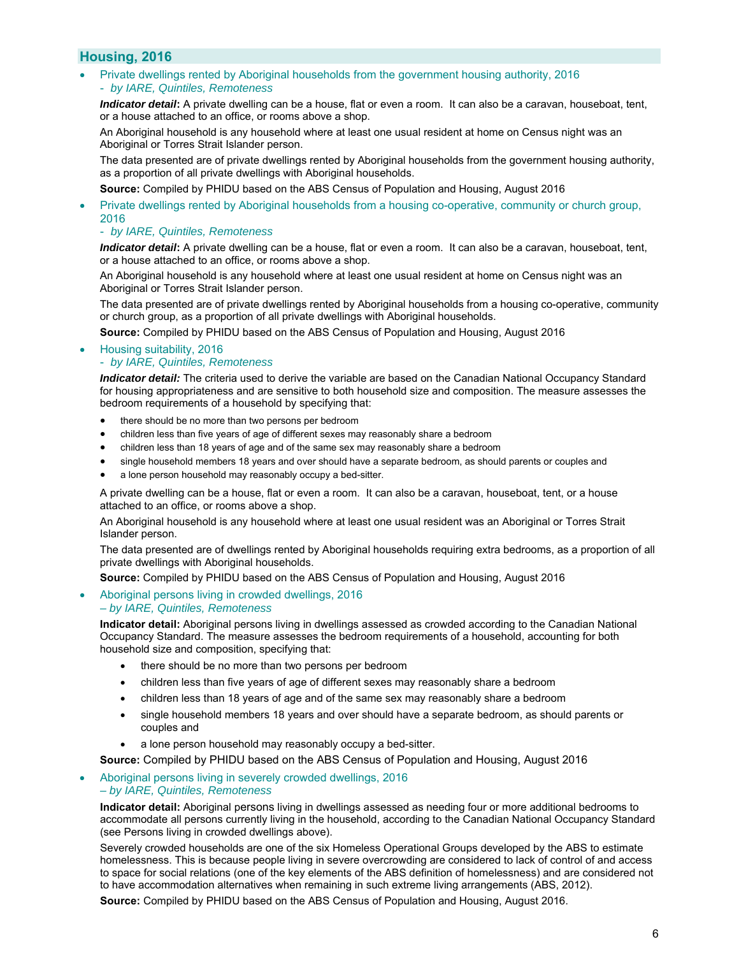# **Housing, 2016**

 Private dwellings rented by Aboriginal households from the government housing authority, 2016 - *by IARE, Quintiles, Remoteness* 

*Indicator detail***:** A private dwelling can be a house, flat or even a room. It can also be a caravan, houseboat, tent, or a house attached to an office, or rooms above a shop.

An Aboriginal household is any household where at least one usual resident at home on Census night was an Aboriginal or Torres Strait Islander person.

The data presented are of private dwellings rented by Aboriginal households from the government housing authority, as a proportion of all private dwellings with Aboriginal households.

**Source:** Compiled by PHIDU based on the ABS Census of Population and Housing, August 2016

 Private dwellings rented by Aboriginal households from a housing co-operative, community or church group, 2016

### - *by IARE, Quintiles, Remoteness*

*Indicator detail***:** A private dwelling can be a house, flat or even a room. It can also be a caravan, houseboat, tent, or a house attached to an office, or rooms above a shop.

An Aboriginal household is any household where at least one usual resident at home on Census night was an Aboriginal or Torres Strait Islander person.

The data presented are of private dwellings rented by Aboriginal households from a housing co-operative, community or church group, as a proportion of all private dwellings with Aboriginal households.

**Source:** Compiled by PHIDU based on the ABS Census of Population and Housing, August 2016

Housing suitability, 2016

### - *by IARE, Quintiles, Remoteness*

*Indicator detail:* The criteria used to derive the variable are based on the Canadian National Occupancy Standard for housing appropriateness and are sensitive to both household size and composition. The measure assesses the bedroom requirements of a household by specifying that:

- there should be no more than two persons per bedroom
- children less than five years of age of different sexes may reasonably share a bedroom
- children less than 18 years of age and of the same sex may reasonably share a bedroom
- single household members 18 years and over should have a separate bedroom, as should parents or couples and
- a lone person household may reasonably occupy a bed-sitter.

A private dwelling can be a house, flat or even a room. It can also be a caravan, houseboat, tent, or a house attached to an office, or rooms above a shop.

An Aboriginal household is any household where at least one usual resident was an Aboriginal or Torres Strait Islander person.

The data presented are of dwellings rented by Aboriginal households requiring extra bedrooms, as a proportion of all private dwellings with Aboriginal households.

**Source:** Compiled by PHIDU based on the ABS Census of Population and Housing, August 2016

### Aboriginal persons living in crowded dwellings, 2016 *– by IARE, Quintiles, Remoteness*

**Indicator detail:** Aboriginal persons living in dwellings assessed as crowded according to the Canadian National Occupancy Standard. The measure assesses the bedroom requirements of a household, accounting for both household size and composition, specifying that:

- there should be no more than two persons per bedroom
- children less than five years of age of different sexes may reasonably share a bedroom
- children less than 18 years of age and of the same sex may reasonably share a bedroom
- single household members 18 years and over should have a separate bedroom, as should parents or couples and
- a lone person household may reasonably occupy a bed-sitter.

**Source:** Compiled by PHIDU based on the ABS Census of Population and Housing, August 2016

 Aboriginal persons living in severely crowded dwellings, 2016 *– by IARE, Quintiles, Remoteness*

**Indicator detail:** Aboriginal persons living in dwellings assessed as needing four or more additional bedrooms to accommodate all persons currently living in the household, according to the Canadian National Occupancy Standard (see Persons living in crowded dwellings above).

Severely crowded households are one of the six Homeless Operational Groups developed by the ABS to estimate homelessness. This is because people living in severe overcrowding are considered to lack of control of and access to space for social relations (one of the key elements of the ABS definition of homelessness) and are considered not to have accommodation alternatives when remaining in such extreme living arrangements (ABS, 2012).

**Source:** Compiled by PHIDU based on the ABS Census of Population and Housing, August 2016.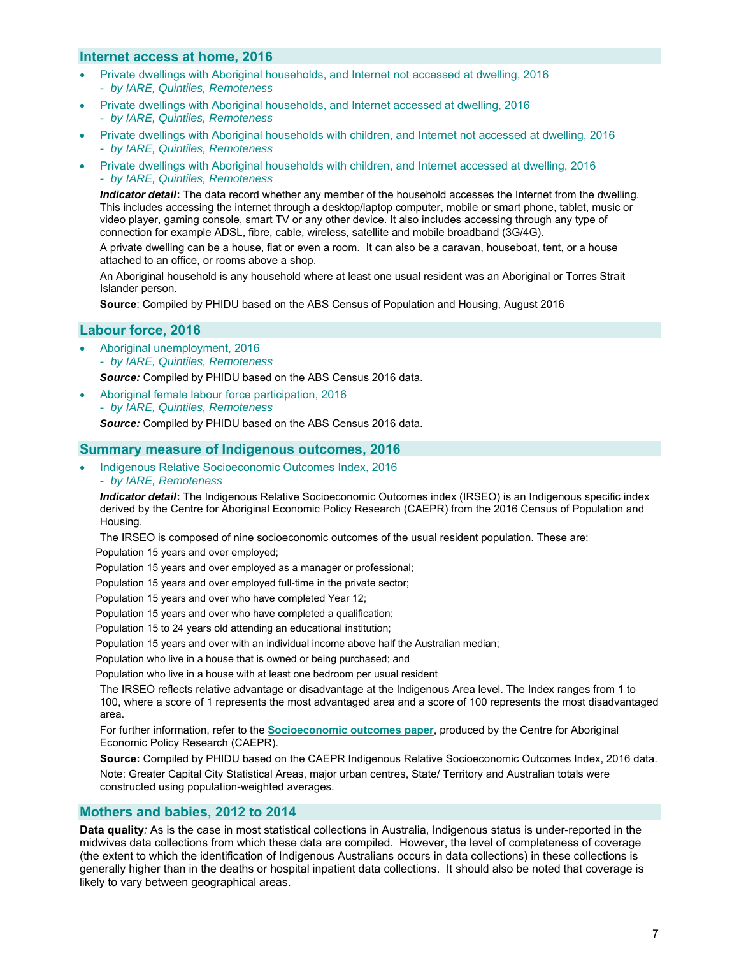# **Internet access at home, 2016**

- Private dwellings with Aboriginal households, and Internet not accessed at dwelling, 2016 - *by IARE, Quintiles, Remoteness*
- Private dwellings with Aboriginal households, and Internet accessed at dwelling, 2016 - *by IARE, Quintiles, Remoteness*
- Private dwellings with Aboriginal households with children, and Internet not accessed at dwelling, 2016 - *by IARE, Quintiles, Remoteness*
- Private dwellings with Aboriginal households with children, and Internet accessed at dwelling, 2016 - *by IARE, Quintiles, Remoteness*

*Indicator detail***:** The data record whether any member of the household accesses the Internet from the dwelling. This includes accessing the internet through a desktop/laptop computer, mobile or smart phone, tablet, music or video player, gaming console, smart TV or any other device. It also includes accessing through any type of connection for example ADSL, fibre, cable, wireless, satellite and mobile broadband (3G/4G).

A private dwelling can be a house, flat or even a room. It can also be a caravan, houseboat, tent, or a house attached to an office, or rooms above a shop.

An Aboriginal household is any household where at least one usual resident was an Aboriginal or Torres Strait Islander person.

**Source**: Compiled by PHIDU based on the ABS Census of Population and Housing, August 2016

# **Labour force, 2016**

 Aboriginal unemployment, 2016 - *by IARE, Quintiles, Remoteness* 

*Source:* Compiled by PHIDU based on the ABS Census 2016 data.

- Aboriginal female labour force participation, 2016
- *by IARE, Quintiles, Remoteness Source:* Compiled by PHIDU based on the ABS Census 2016 data.

# **Summary measure of Indigenous outcomes, 2016**

 Indigenous Relative Socioeconomic Outcomes Index, 2016 - *by IARE, Remoteness* 

*Indicator detail***:** The Indigenous Relative Socioeconomic Outcomes index (IRSEO) is an Indigenous specific index derived by the Centre for Aboriginal Economic Policy Research (CAEPR) from the 2016 Census of Population and Housing.

The IRSEO is composed of nine socioeconomic outcomes of the usual resident population. These are:

Population 15 years and over employed;

Population 15 years and over employed as a manager or professional;

Population 15 years and over employed full-time in the private sector;

Population 15 years and over who have completed Year 12;

Population 15 years and over who have completed a qualification;

Population 15 to 24 years old attending an educational institution;

Population 15 years and over with an individual income above half the Australian median;

Population who live in a house that is owned or being purchased; and

Population who live in a house with at least one bedroom per usual resident

The IRSEO reflects relative advantage or disadvantage at the Indigenous Area level. The Index ranges from 1 to 100, where a score of 1 represents the most advantaged area and a score of 100 represents the most disadvantaged area.

For further information, refer to the **Socioeconomic outcomes paper**, produced by the Centre for Aboriginal Economic Policy Research (CAEPR).

**Source:** Compiled by PHIDU based on the CAEPR Indigenous Relative Socioeconomic Outcomes Index, 2016 data. Note: Greater Capital City Statistical Areas, major urban centres, State/ Territory and Australian totals were constructed using population-weighted averages.

# **Mothers and babies, 2012 to 2014**

**Data quality***:* As is the case in most statistical collections in Australia, Indigenous status is under-reported in the midwives data collections from which these data are compiled. However, the level of completeness of coverage (the extent to which the identification of Indigenous Australians occurs in data collections) in these collections is generally higher than in the deaths or hospital inpatient data collections. It should also be noted that coverage is likely to vary between geographical areas.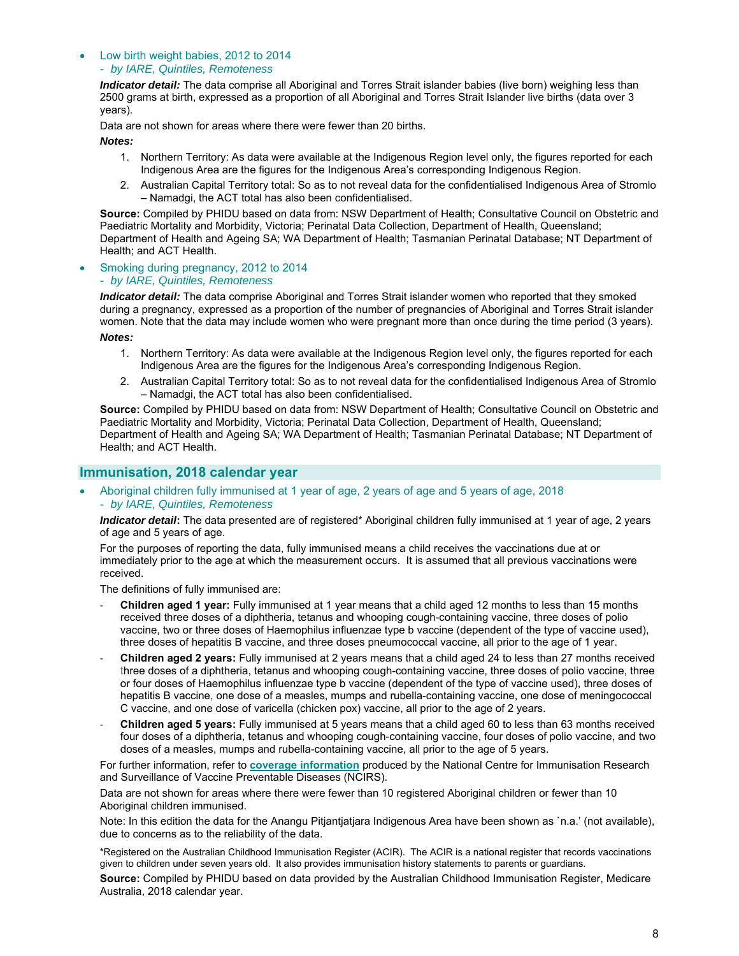### Low birth weight babies, 2012 to 2014

### - *by IARE, Quintiles, Remoteness*

*Indicator detail:* The data comprise all Aboriginal and Torres Strait islander babies (live born) weighing less than 2500 grams at birth, expressed as a proportion of all Aboriginal and Torres Strait Islander live births (data over 3 years).

Data are not shown for areas where there were fewer than 20 births.

*Notes:* 

- 1. Northern Territory: As data were available at the Indigenous Region level only, the figures reported for each Indigenous Area are the figures for the Indigenous Area's corresponding Indigenous Region.
- 2. Australian Capital Territory total: So as to not reveal data for the confidentialised Indigenous Area of Stromlo – Namadgi, the ACT total has also been confidentialised.

**Source:** Compiled by PHIDU based on data from: NSW Department of Health; Consultative Council on Obstetric and Paediatric Mortality and Morbidity, Victoria; Perinatal Data Collection, Department of Health, Queensland; Department of Health and Ageing SA; WA Department of Health; Tasmanian Perinatal Database; NT Department of Health; and ACT Health.

# Smoking during pregnancy, 2012 to 2014

### - *by IARE, Quintiles, Remoteness*

*Indicator detail:* The data comprise Aboriginal and Torres Strait islander women who reported that they smoked during a pregnancy, expressed as a proportion of the number of pregnancies of Aboriginal and Torres Strait islander women. Note that the data may include women who were pregnant more than once during the time period (3 years). *Notes:* 

- 1. Northern Territory: As data were available at the Indigenous Region level only, the figures reported for each Indigenous Area are the figures for the Indigenous Area's corresponding Indigenous Region.
- 2. Australian Capital Territory total: So as to not reveal data for the confidentialised Indigenous Area of Stromlo – Namadgi, the ACT total has also been confidentialised.

**Source:** Compiled by PHIDU based on data from: NSW Department of Health; Consultative Council on Obstetric and Paediatric Mortality and Morbidity, Victoria; Perinatal Data Collection, Department of Health, Queensland; Department of Health and Ageing SA; WA Department of Health; Tasmanian Perinatal Database; NT Department of Health; and ACT Health.

# **Immunisation, 2018 calendar year**

 Aboriginal children fully immunised at 1 year of age, 2 years of age and 5 years of age, 2018 - *by IARE, Quintiles, Remoteness* 

*Indicator detail***:** The data presented are of registered\* Aboriginal children fully immunised at 1 year of age, 2 years of age and 5 years of age.

For the purposes of reporting the data, fully immunised means a child receives the vaccinations due at or immediately prior to the age at which the measurement occurs. It is assumed that all previous vaccinations were received.

The definitions of fully immunised are:

- ‐ **Children aged 1 year:** Fully immunised at 1 year means that a child aged 12 months to less than 15 months received three doses of a diphtheria, tetanus and whooping cough-containing vaccine, three doses of polio vaccine, two or three doses of Haemophilus influenzae type b vaccine (dependent of the type of vaccine used), three doses of hepatitis B vaccine, and three doses pneumococcal vaccine, all prior to the age of 1 year.
- ‐ **Children aged 2 years:** Fully immunised at 2 years means that a child aged 24 to less than 27 months received three doses of a diphtheria, tetanus and whooping cough-containing vaccine, three doses of polio vaccine, three or four doses of Haemophilus influenzae type b vaccine (dependent of the type of vaccine used), three doses of hepatitis B vaccine, one dose of a measles, mumps and rubella-containing vaccine, one dose of meningococcal C vaccine, and one dose of varicella (chicken pox) vaccine, all prior to the age of 2 years.
- ‐ **Children aged 5 years:** Fully immunised at 5 years means that a child aged 60 to less than 63 months received four doses of a diphtheria, tetanus and whooping cough-containing vaccine, four doses of polio vaccine, and two doses of a measles, mumps and rubella-containing vaccine, all prior to the age of 5 years.

For further information, refer to **coverage information** produced by the National Centre for Immunisation Research and Surveillance of Vaccine Preventable Diseases (NCIRS).

Data are not shown for areas where there were fewer than 10 registered Aboriginal children or fewer than 10 Aboriginal children immunised.

Note: In this edition the data for the Anangu Pitjantjatjara Indigenous Area have been shown as `n.a.' (not available), due to concerns as to the reliability of the data.

\*Registered on the Australian Childhood Immunisation Register (ACIR). The ACIR is a national register that records vaccinations given to children under seven years old. It also provides immunisation history statements to parents or guardians.

**Source:** Compiled by PHIDU based on data provided by the Australian Childhood Immunisation Register, Medicare Australia, 2018 calendar year.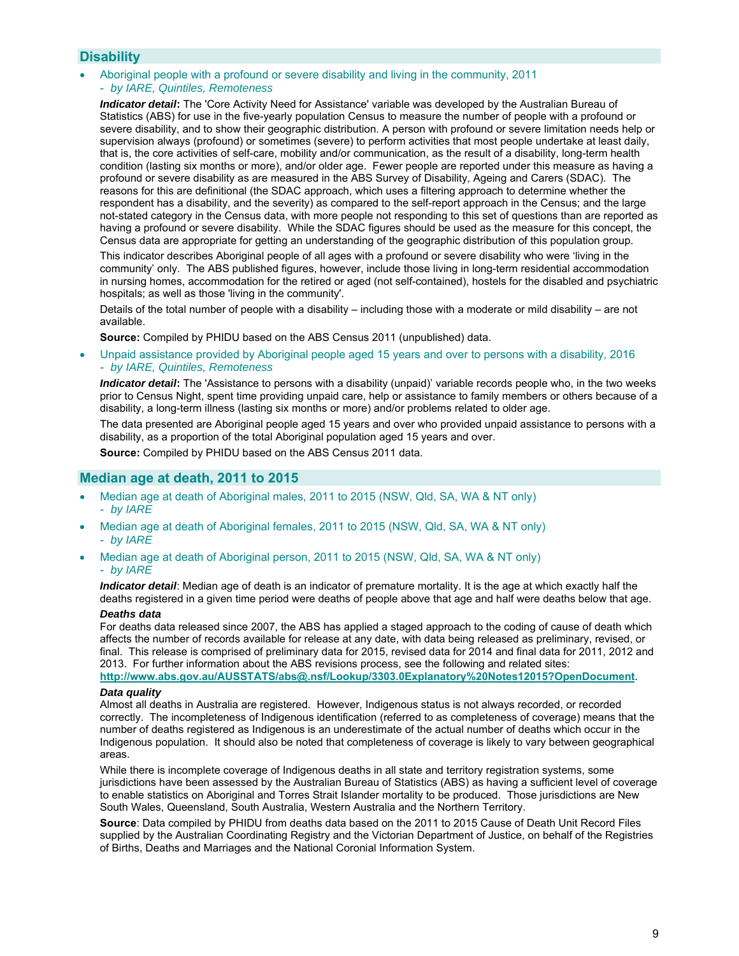# **Disability**

- Aboriginal people with a profound or severe disability and living in the community, 2011
- *by IARE, Quintiles, Remoteness*

*Indicator detail***:** The 'Core Activity Need for Assistance' variable was developed by the Australian Bureau of Statistics (ABS) for use in the five-yearly population Census to measure the number of people with a profound or severe disability, and to show their geographic distribution. A person with profound or severe limitation needs help or supervision always (profound) or sometimes (severe) to perform activities that most people undertake at least daily, that is, the core activities of self-care, mobility and/or communication, as the result of a disability, long-term health condition (lasting six months or more), and/or older age. Fewer people are reported under this measure as having a profound or severe disability as are measured in the ABS Survey of Disability, Ageing and Carers (SDAC). The reasons for this are definitional (the SDAC approach, which uses a filtering approach to determine whether the respondent has a disability, and the severity) as compared to the self-report approach in the Census; and the large not-stated category in the Census data, with more people not responding to this set of questions than are reported as having a profound or severe disability. While the SDAC figures should be used as the measure for this concept, the Census data are appropriate for getting an understanding of the geographic distribution of this population group.

This indicator describes Aboriginal people of all ages with a profound or severe disability who were 'living in the community' only. The ABS published figures, however, include those living in long-term residential accommodation in nursing homes, accommodation for the retired or aged (not self-contained), hostels for the disabled and psychiatric hospitals; as well as those 'living in the community'.

Details of the total number of people with a disability – including those with a moderate or mild disability – are not available.

**Source:** Compiled by PHIDU based on the ABS Census 2011 (unpublished) data.

 Unpaid assistance provided by Aboriginal people aged 15 years and over to persons with a disability, 2016 - *by IARE, Quintiles, Remoteness* 

*Indicator detail***:** The 'Assistance to persons with a disability (unpaid)' variable records people who, in the two weeks prior to Census Night, spent time providing unpaid care, help or assistance to family members or others because of a disability, a long-term illness (lasting six months or more) and/or problems related to older age.

The data presented are Aboriginal people aged 15 years and over who provided unpaid assistance to persons with a disability, as a proportion of the total Aboriginal population aged 15 years and over.

**Source:** Compiled by PHIDU based on the ABS Census 2011 data.

### **Median age at death, 2011 to 2015**

- Median age at death of Aboriginal males, 2011 to 2015 (NSW, Qld, SA, WA & NT only) - *by IARE*
- Median age at death of Aboriginal females, 2011 to 2015 (NSW, Qld, SA, WA & NT only) - *by IARE*
- Median age at death of Aboriginal person, 2011 to 2015 (NSW, Qld, SA, WA & NT only) - *by IARE*

*Indicator detail*: Median age of death is an indicator of premature mortality. It is the age at which exactly half the deaths registered in a given time period were deaths of people above that age and half were deaths below that age.

#### *Deaths data*

For deaths data released since 2007, the ABS has applied a staged approach to the coding of cause of death which affects the number of records available for release at any date, with data being released as preliminary, revised, or final. This release is comprised of preliminary data for 2015, revised data for 2014 and final data for 2011, 2012 and 2013. For further information about the ABS revisions process, see the following and related sites: **http://www.abs.gov.au/AUSSTATS/abs@.nsf/Lookup/3303.0Explanatory%20Notes12015?OpenDocument**.

#### *Data quality*

Almost all deaths in Australia are registered. However, Indigenous status is not always recorded, or recorded correctly. The incompleteness of Indigenous identification (referred to as completeness of coverage) means that the number of deaths registered as Indigenous is an underestimate of the actual number of deaths which occur in the Indigenous population. It should also be noted that completeness of coverage is likely to vary between geographical areas.

While there is incomplete coverage of Indigenous deaths in all state and territory registration systems, some jurisdictions have been assessed by the Australian Bureau of Statistics (ABS) as having a sufficient level of coverage to enable statistics on Aboriginal and Torres Strait Islander mortality to be produced. Those jurisdictions are New South Wales, Queensland, South Australia, Western Australia and the Northern Territory.

**Source**: Data compiled by PHIDU from deaths data based on the 2011 to 2015 Cause of Death Unit Record Files supplied by the Australian Coordinating Registry and the Victorian Department of Justice, on behalf of the Registries of Births, Deaths and Marriages and the National Coronial Information System.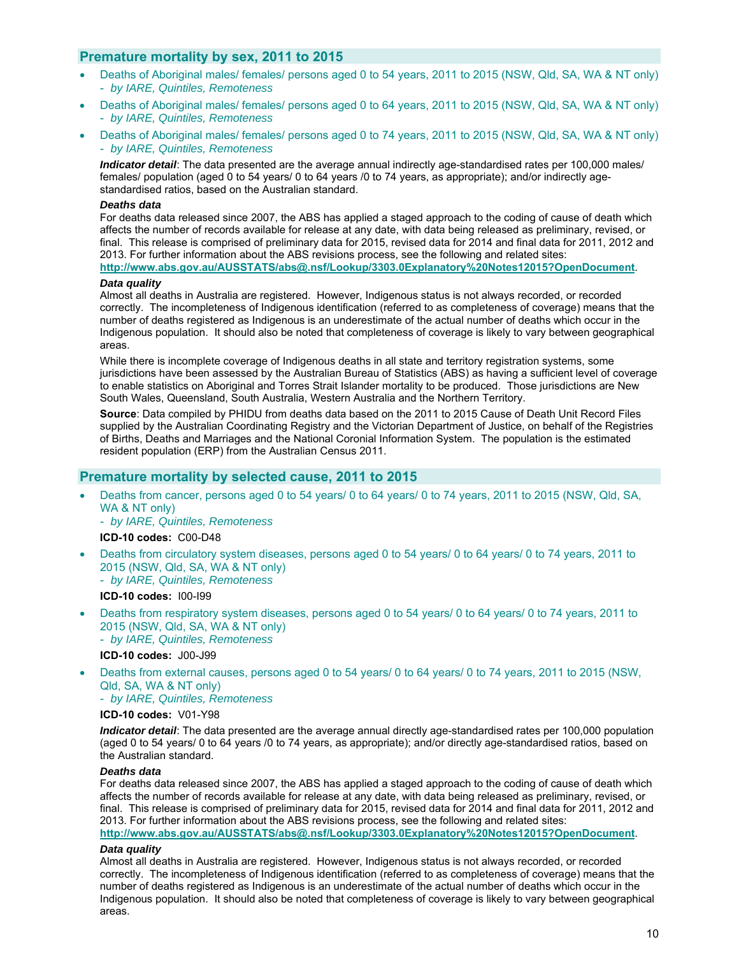# **Premature mortality by sex, 2011 to 2015**

- Deaths of Aboriginal males/ females/ persons aged 0 to 54 years, 2011 to 2015 (NSW, Qld, SA, WA & NT only) - *by IARE, Quintiles, Remoteness*
- Deaths of Aboriginal males/ females/ persons aged 0 to 64 years, 2011 to 2015 (NSW, Qld, SA, WA & NT only) - *by IARE, Quintiles, Remoteness*
- Deaths of Aboriginal males/ females/ persons aged 0 to 74 years, 2011 to 2015 (NSW, Qld, SA, WA & NT only) - *by IARE, Quintiles, Remoteness*

*Indicator detail*: The data presented are the average annual indirectly age-standardised rates per 100,000 males/ females/ population (aged 0 to 54 years/ 0 to 64 years /0 to 74 years, as appropriate); and/or indirectly agestandardised ratios, based on the Australian standard.

### *Deaths data*

For deaths data released since 2007, the ABS has applied a staged approach to the coding of cause of death which affects the number of records available for release at any date, with data being released as preliminary, revised, or final. This release is comprised of preliminary data for 2015, revised data for 2014 and final data for 2011, 2012 and 2013. For further information about the ABS revisions process, see the following and related sites: **http://www.abs.gov.au/AUSSTATS/abs@.nsf/Lookup/3303.0Explanatory%20Notes12015?OpenDocument**.

### *Data quality*

Almost all deaths in Australia are registered. However, Indigenous status is not always recorded, or recorded correctly. The incompleteness of Indigenous identification (referred to as completeness of coverage) means that the number of deaths registered as Indigenous is an underestimate of the actual number of deaths which occur in the Indigenous population. It should also be noted that completeness of coverage is likely to vary between geographical areas.

While there is incomplete coverage of Indigenous deaths in all state and territory registration systems, some jurisdictions have been assessed by the Australian Bureau of Statistics (ABS) as having a sufficient level of coverage to enable statistics on Aboriginal and Torres Strait Islander mortality to be produced. Those jurisdictions are New South Wales, Queensland, South Australia, Western Australia and the Northern Territory.

**Source**: Data compiled by PHIDU from deaths data based on the 2011 to 2015 Cause of Death Unit Record Files supplied by the Australian Coordinating Registry and the Victorian Department of Justice, on behalf of the Registries of Births, Deaths and Marriages and the National Coronial Information System. The population is the estimated resident population (ERP) from the Australian Census 2011.

# **Premature mortality by selected cause, 2011 to 2015**

 Deaths from cancer, persons aged 0 to 54 years/ 0 to 64 years/ 0 to 74 years, 2011 to 2015 (NSW, Qld, SA, WA & NT only)

- *by IARE, Quintiles, Remoteness* 

### **ICD-10 codes:** C00-D48

- Deaths from circulatory system diseases, persons aged 0 to 54 years/ 0 to 64 years/ 0 to 74 years, 2011 to 2015 (NSW, Qld, SA, WA & NT only)
	- *by IARE, Quintiles, Remoteness*

# **ICD-10 codes:** I00-I99

 Deaths from respiratory system diseases, persons aged 0 to 54 years/ 0 to 64 years/ 0 to 74 years, 2011 to 2015 (NSW, Qld, SA, WA & NT only)

- *by IARE, Quintiles, Remoteness* 

**ICD-10 codes:** J00-J99

 Deaths from external causes, persons aged 0 to 54 years/ 0 to 64 years/ 0 to 74 years, 2011 to 2015 (NSW, Qld, SA, WA & NT only)

- *by IARE, Quintiles, Remoteness* 

### **ICD-10 codes:** V01-Y98

*Indicator detail*: The data presented are the average annual directly age-standardised rates per 100,000 population (aged 0 to 54 years/ 0 to 64 years /0 to 74 years, as appropriate); and/or directly age-standardised ratios, based on the Australian standard.

#### *Deaths data*

For deaths data released since 2007, the ABS has applied a staged approach to the coding of cause of death which affects the number of records available for release at any date, with data being released as preliminary, revised, or final. This release is comprised of preliminary data for 2015, revised data for 2014 and final data for 2011, 2012 and 2013. For further information about the ABS revisions process, see the following and related sites:

### **http://www.abs.gov.au/AUSSTATS/abs@.nsf/Lookup/3303.0Explanatory%20Notes12015?OpenDocument**. *Data quality*

Almost all deaths in Australia are registered. However, Indigenous status is not always recorded, or recorded correctly. The incompleteness of Indigenous identification (referred to as completeness of coverage) means that the number of deaths registered as Indigenous is an underestimate of the actual number of deaths which occur in the Indigenous population. It should also be noted that completeness of coverage is likely to vary between geographical areas.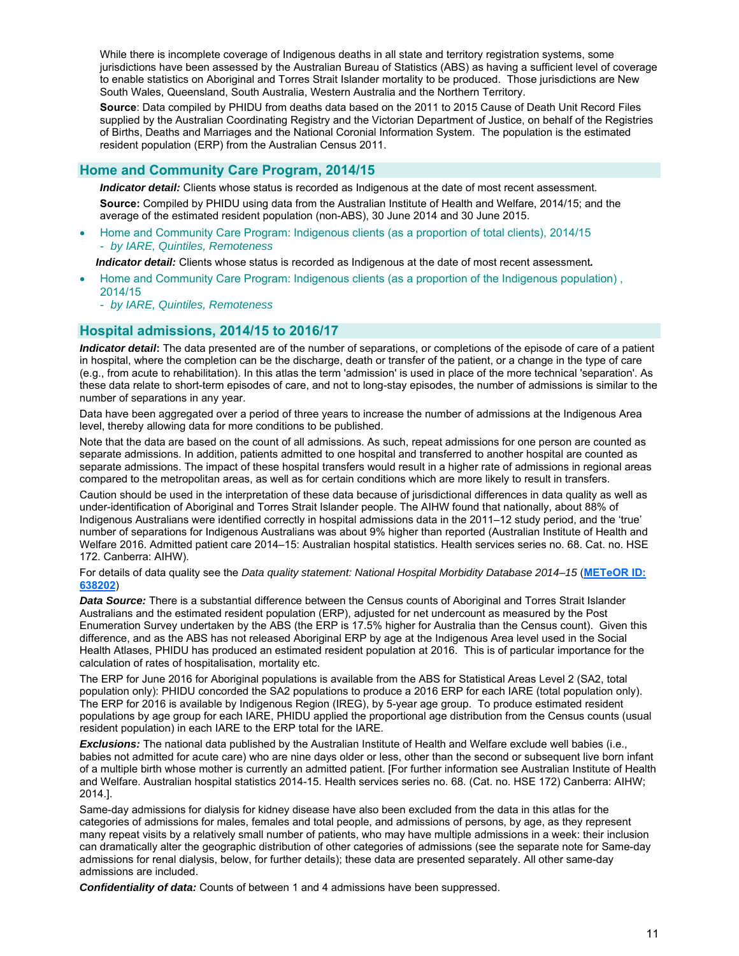While there is incomplete coverage of Indigenous deaths in all state and territory registration systems, some jurisdictions have been assessed by the Australian Bureau of Statistics (ABS) as having a sufficient level of coverage to enable statistics on Aboriginal and Torres Strait Islander mortality to be produced. Those jurisdictions are New South Wales, Queensland, South Australia, Western Australia and the Northern Territory.

**Source**: Data compiled by PHIDU from deaths data based on the 2011 to 2015 Cause of Death Unit Record Files supplied by the Australian Coordinating Registry and the Victorian Department of Justice, on behalf of the Registries of Births, Deaths and Marriages and the National Coronial Information System. The population is the estimated resident population (ERP) from the Australian Census 2011.

# **Home and Community Care Program, 2014/15**

**Indicator detail:** Clients whose status is recorded as Indigenous at the date of most recent assessment. **Source:** Compiled by PHIDU using data from the Australian Institute of Health and Welfare, 2014/15; and the average of the estimated resident population (non-ABS), 30 June 2014 and 30 June 2015.

 Home and Community Care Program: Indigenous clients (as a proportion of total clients), 2014/15 - *by IARE, Quintiles, Remoteness* 

*Indicator detail:* Clients whose status is recorded as Indigenous at the date of most recent assessment*.* 

- Home and Community Care Program: Indigenous clients (as a proportion of the Indigenous population) , 2014/15
	- *by IARE, Quintiles, Remoteness*

# **Hospital admissions, 2014/15 to 2016/17**

*Indicator detail***:** The data presented are of the number of separations, or completions of the episode of care of a patient in hospital, where the completion can be the discharge, death or transfer of the patient, or a change in the type of care (e.g., from acute to rehabilitation). In this atlas the term 'admission' is used in place of the more technical 'separation'. As these data relate to short-term episodes of care, and not to long-stay episodes, the number of admissions is similar to the number of separations in any year.

Data have been aggregated over a period of three years to increase the number of admissions at the Indigenous Area level, thereby allowing data for more conditions to be published.

Note that the data are based on the count of all admissions. As such, repeat admissions for one person are counted as separate admissions. In addition, patients admitted to one hospital and transferred to another hospital are counted as separate admissions. The impact of these hospital transfers would result in a higher rate of admissions in regional areas compared to the metropolitan areas, as well as for certain conditions which are more likely to result in transfers.

Caution should be used in the interpretation of these data because of jurisdictional differences in data quality as well as under-identification of Aboriginal and Torres Strait Islander people. The AIHW found that nationally, about 88% of Indigenous Australians were identified correctly in hospital admissions data in the 2011–12 study period, and the 'true' number of separations for Indigenous Australians was about 9% higher than reported (Australian Institute of Health and Welfare 2016. Admitted patient care 2014–15: Australian hospital statistics. Health services series no. 68. Cat. no. HSE 172. Canberra: AIHW).

For details of data quality see the *Data quality statement: National Hospital Morbidity Database 2014–15* (**METeOR ID: 638202**)

*Data Source:* There is a substantial difference between the Census counts of Aboriginal and Torres Strait Islander Australians and the estimated resident population (ERP), adjusted for net undercount as measured by the Post Enumeration Survey undertaken by the ABS (the ERP is 17.5% higher for Australia than the Census count). Given this difference, and as the ABS has not released Aboriginal ERP by age at the Indigenous Area level used in the Social Health Atlases, PHIDU has produced an estimated resident population at 2016. This is of particular importance for the calculation of rates of hospitalisation, mortality etc.

The ERP for June 2016 for Aboriginal populations is available from the ABS for Statistical Areas Level 2 (SA2, total population only): PHIDU concorded the SA2 populations to produce a 2016 ERP for each IARE (total population only). The ERP for 2016 is available by Indigenous Region (IREG), by 5-year age group. To produce estimated resident populations by age group for each IARE, PHIDU applied the proportional age distribution from the Census counts (usual resident population) in each IARE to the ERP total for the IARE.

*Exclusions:* The national data published by the Australian Institute of Health and Welfare exclude well babies (i.e., babies not admitted for acute care) who are nine days older or less, other than the second or subsequent live born infant of a multiple birth whose mother is currently an admitted patient. [For further information see Australian Institute of Health and Welfare. Australian hospital statistics 2014-15. Health services series no. 68. (Cat. no. HSE 172) Canberra: AIHW; 2014.].

Same-day admissions for dialysis for kidney disease have also been excluded from the data in this atlas for the categories of admissions for males, females and total people, and admissions of persons, by age, as they represent many repeat visits by a relatively small number of patients, who may have multiple admissions in a week: their inclusion can dramatically alter the geographic distribution of other categories of admissions (see the separate note for Same-day admissions for renal dialysis, below, for further details); these data are presented separately. All other same-day admissions are included.

*Confidentiality of data:* Counts of between 1 and 4 admissions have been suppressed.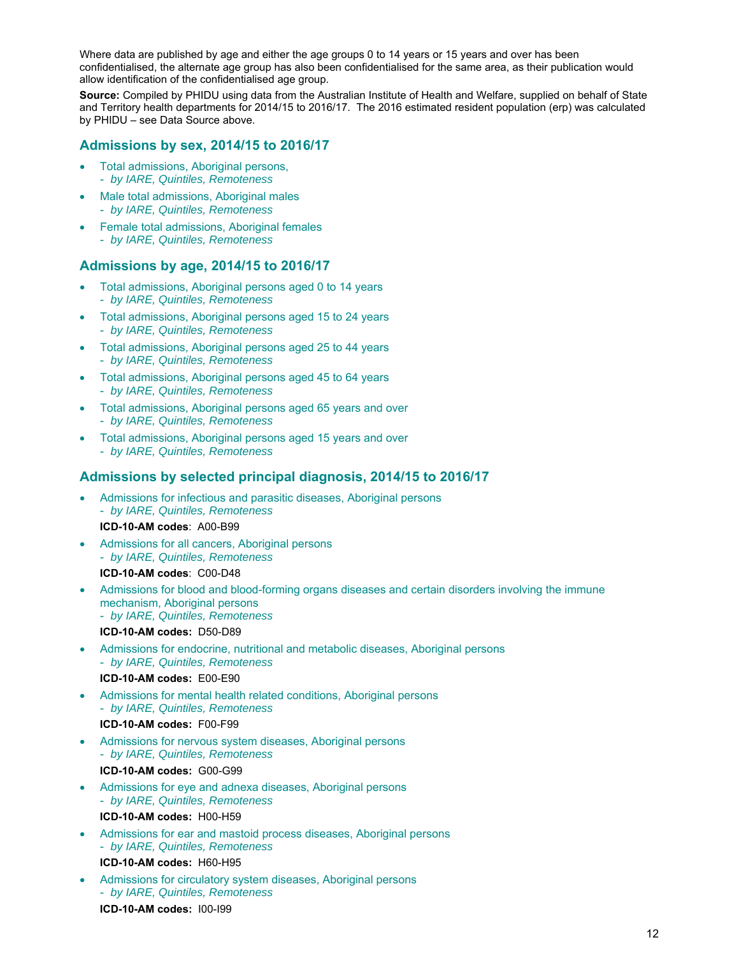Where data are published by age and either the age groups 0 to 14 years or 15 years and over has been confidentialised, the alternate age group has also been confidentialised for the same area, as their publication would allow identification of the confidentialised age group.

**Source:** Compiled by PHIDU using data from the Australian Institute of Health and Welfare, supplied on behalf of State and Territory health departments for 2014/15 to 2016/17. The 2016 estimated resident population (erp) was calculated by PHIDU – see Data Source above.

# **Admissions by sex, 2014/15 to 2016/17**

- Total admissions, Aboriginal persons, - *by IARE, Quintiles, Remoteness*
- Male total admissions, Aboriginal males - *by IARE, Quintiles, Remoteness*
- Female total admissions, Aboriginal females - *by IARE, Quintiles, Remoteness*

# **Admissions by age, 2014/15 to 2016/17**

- Total admissions, Aboriginal persons aged 0 to 14 years - *by IARE, Quintiles, Remoteness*
- Total admissions, Aboriginal persons aged 15 to 24 years - *by IARE, Quintiles, Remoteness*
- Total admissions, Aboriginal persons aged 25 to 44 years - *by IARE, Quintiles, Remoteness*
- Total admissions, Aboriginal persons aged 45 to 64 years - *by IARE, Quintiles, Remoteness*
- Total admissions, Aboriginal persons aged 65 years and over - *by IARE, Quintiles, Remoteness*
- Total admissions, Aboriginal persons aged 15 years and over - *by IARE, Quintiles, Remoteness*

# **Admissions by selected principal diagnosis, 2014/15 to 2016/17**

- Admissions for infectious and parasitic diseases, Aboriginal persons - *by IARE, Quintiles, Remoteness*  **ICD-10-AM codes**: A00-B99
- Admissions for all cancers, Aboriginal persons - *by IARE, Quintiles, Remoteness*  **ICD-10-AM codes**: C00-D48
- Admissions for blood and blood-forming organs diseases and certain disorders involving the immune mechanism, Aboriginal persons - *by IARE, Quintiles, Remoteness* 
	- **ICD-10-AM codes:** D50-D89
- Admissions for endocrine, nutritional and metabolic diseases, Aboriginal persons - *by IARE, Quintiles, Remoteness* 
	- **ICD-10-AM codes:** E00-E90
- Admissions for mental health related conditions, Aboriginal persons - *by IARE, Quintiles, Remoteness*  **ICD-10-AM codes:** F00-F99
- Admissions for nervous system diseases, Aboriginal persons - *by IARE, Quintiles, Remoteness*  **ICD-10-AM codes:** G00-G99
- Admissions for eye and adnexa diseases, Aboriginal persons - *by IARE, Quintiles, Remoteness* 
	- **ICD-10-AM codes:** H00-H59
- Admissions for ear and mastoid process diseases, Aboriginal persons - *by IARE, Quintiles, Remoteness*  **ICD-10-AM codes:** H60-H95
- Admissions for circulatory system diseases, Aboriginal persons - *by IARE, Quintiles, Remoteness*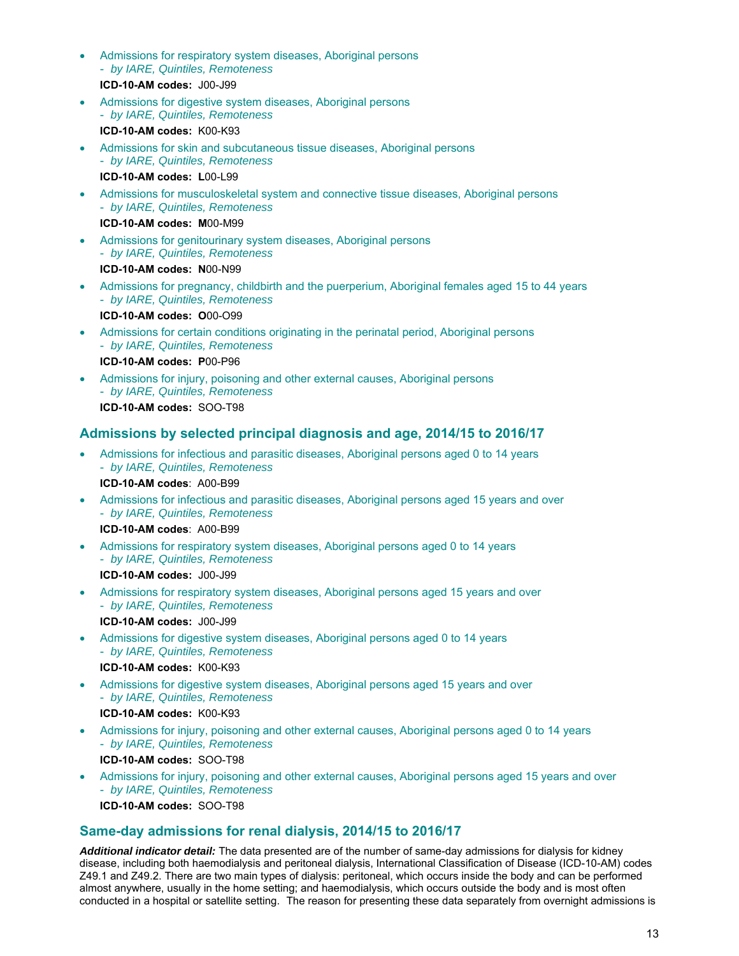- Admissions for respiratory system diseases, Aboriginal persons - *by IARE, Quintiles, Remoteness*  **ICD-10-AM codes:** J00-J99
- Admissions for digestive system diseases, Aboriginal persons - *by IARE, Quintiles, Remoteness*  **ICD-10-AM codes:** K00-K93
- Admissions for skin and subcutaneous tissue diseases, Aboriginal persons - *by IARE, Quintiles, Remoteness*

**ICD-10-AM codes: L**00-L99

 Admissions for musculoskeletal system and connective tissue diseases, Aboriginal persons - *by IARE, Quintiles, Remoteness* 

**ICD-10-AM codes: M**00-M99

 Admissions for genitourinary system diseases, Aboriginal persons - *by IARE, Quintiles, Remoteness* 

**ICD-10-AM codes: N**00-N99

 Admissions for pregnancy, childbirth and the puerperium, Aboriginal females aged 15 to 44 years - *by IARE, Quintiles, Remoteness* 

**ICD-10-AM codes: O**00-O99

 Admissions for certain conditions originating in the perinatal period, Aboriginal persons - *by IARE, Quintiles, Remoteness* 

**ICD-10-AM codes: P**00-P96

 Admissions for injury, poisoning and other external causes, Aboriginal persons - *by IARE, Quintiles, Remoteness*  **ICD-10-AM codes:** SOO-T98

# **Admissions by selected principal diagnosis and age, 2014/15 to 2016/17**

 Admissions for infectious and parasitic diseases, Aboriginal persons aged 0 to 14 years - *by IARE, Quintiles, Remoteness* 

**ICD-10-AM codes**: A00-B99

 Admissions for infectious and parasitic diseases, Aboriginal persons aged 15 years and over - *by IARE, Quintiles, Remoteness* 

**ICD-10-AM codes**: A00-B99

 Admissions for respiratory system diseases, Aboriginal persons aged 0 to 14 years - *by IARE, Quintiles, Remoteness* 

**ICD-10-AM codes:** J00-J99

 Admissions for respiratory system diseases, Aboriginal persons aged 15 years and over - *by IARE, Quintiles, Remoteness* 

**ICD-10-AM codes:** J00-J99

- Admissions for digestive system diseases, Aboriginal persons aged 0 to 14 years - *by IARE, Quintiles, Remoteness* 
	- **ICD-10-AM codes:** K00-K93
- Admissions for digestive system diseases, Aboriginal persons aged 15 years and over - *by IARE, Quintiles, Remoteness*

**ICD-10-AM codes:** K00-K93

- Admissions for injury, poisoning and other external causes, Aboriginal persons aged 0 to 14 years - *by IARE, Quintiles, Remoteness* 
	- **ICD-10-AM codes:** SOO-T98
- Admissions for injury, poisoning and other external causes, Aboriginal persons aged 15 years and over - *by IARE, Quintiles, Remoteness*  **ICD-10-AM codes:** SOO-T98

# **Same-day admissions for renal dialysis, 2014/15 to 2016/17**

*Additional indicator detail:* The data presented are of the number of same-day admissions for dialysis for kidney disease, including both haemodialysis and peritoneal dialysis, International Classification of Disease (ICD-10-AM) codes Z49.1 and Z49.2. There are two main types of dialysis: peritoneal, which occurs inside the body and can be performed almost anywhere, usually in the home setting; and haemodialysis, which occurs outside the body and is most often conducted in a hospital or satellite setting. The reason for presenting these data separately from overnight admissions is